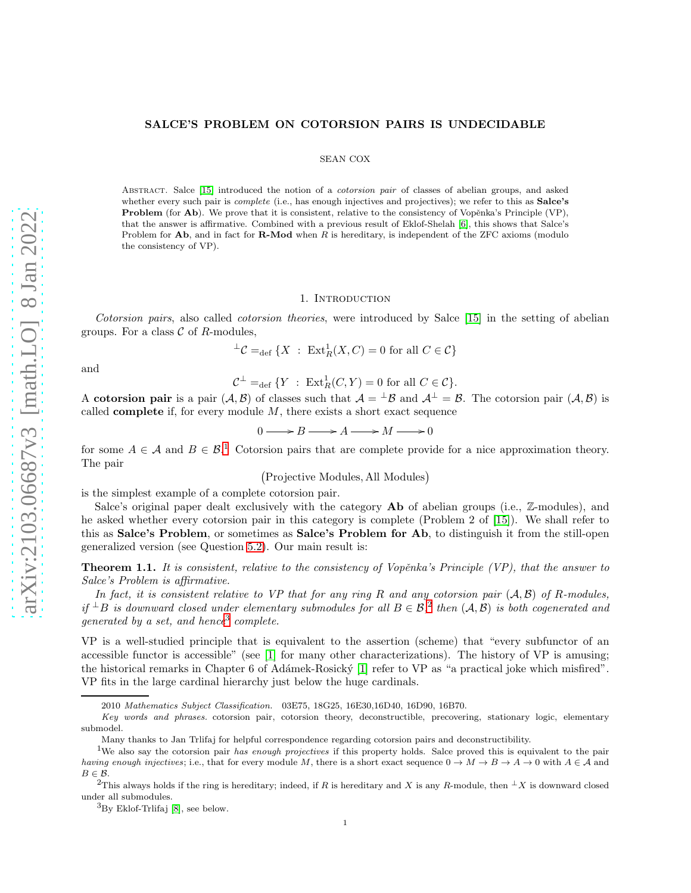# SALCE'S PROBLEM ON COTORSION PAIRS IS UNDECIDABLE

## SEAN COX

ABSTRACT. Salce [\[15\]](#page-7-0) introduced the notion of a *cotorsion pair* of classes of abelian groups, and asked whether every such pair is *complete* (i.e., has enough injectives and projectives); we refer to this as **Salce's Problem** (for  $\mathbf{Ab}$ ). We prove that it is consistent, relative to the consistency of Vopěnka's Principle (VP), that the answer is affirmative. Combined with a previous result of Eklof-Shelah [\[6\]](#page-7-1), this shows that Salce's Problem for  $Ab$ , and in fact for  $R$ -Mod when  $R$  is hereditary, is independent of the ZFC axioms (modulo the consistency of VP).

# 1. INTRODUCTION

Cotorsion pairs, also called cotorsion theories, were introduced by Salce [\[15\]](#page-7-0) in the setting of abelian groups. For a class  $\mathcal C$  of R-modules,

$$
{}^{\perp}\mathcal{C} =_{\text{def}} \{ X : \operatorname{Ext}^1_R(X, C) = 0 \text{ for all } C \in \mathcal{C} \}
$$

and

$$
\mathcal{C}^\perp =_{\mathrm{def}} \{Y \;:\; \mathrm{Ext}^1_R(C,Y) = 0 \hbox{ for all } C \in \mathcal{C}\}.
$$

A cotorsion pair is a pair  $(A, B)$  of classes such that  $A = {}^{\perp}B$  and  $A^{\perp} = B$ . The cotorsion pair  $(A, B)$  is called **complete** if, for every module  $M$ , there exists a short exact sequence

$$
0 \longrightarrow B \longrightarrow A \longrightarrow M \longrightarrow 0
$$

for some  $A \in \mathcal{A}$  and  $B \in \mathcal{B}^1$ . Cotorsion pairs that are complete provide for a nice approximation theory. The pair

Projective Modules, All Modules

is the simplest example of a complete cotorsion pair.

Salce's original paper dealt exclusively with the category **Ab** of abelian groups (i.e., Z-modules), and he asked whether every cotorsion pair in this category is complete (Problem 2 of [\[15\]](#page-7-0)). We shall refer to this as Salce's Problem, or sometimes as Salce's Problem for Ab, to distinguish it from the still-open generalized version (see Question [5.2\)](#page-6-0). Our main result is:

<span id="page-0-0"></span>**Theorem 1.1.** It is consistent, relative to the consistency of Vopěnka's Principle  $(VP)$ , that the answer to Salce's Problem is affirmative.

In fact, it is consistent relative to VP that for any ring R and any cotorsion pair  $(A, B)$  of R-modules, if  $\pm B$  is downward closed under elementary submodules for all  $B \in \mathcal{B}$ , then  $(\mathcal{A}, \mathcal{B})$  is both cogenerated and  $generated by a set, and hence <sup>3</sup> complete.$ 

VP is a well-studied principle that is equivalent to the assertion (scheme) that "every subfunctor of an accessible functor is accessible" (see [\[1\]](#page-7-2) for many other characterizations). The history of VP is amusing; the historical remarks in Chapter 6 of Adámek-Rosický [\[1\]](#page-7-2) refer to VP as "a practical joke which misfired". VP fits in the large cardinal hierarchy just below the huge cardinals.

<sup>2010</sup> Mathematics Subject Classification. 03E75, 18G25, 16E30,16D40, 16D90, 16B70.

Key words and phrases. cotorsion pair, cotorsion theory, deconstructible, precovering, stationary logic, elementary submodel.

Many thanks to Jan Trlifaj for helpful correspondence regarding cotorsion pairs and deconstructibility.

<sup>&</sup>lt;sup>1</sup>We also say the cotorsion pair has enough projectives if this property holds. Salce proved this is equivalent to the pair having enough injectives; i.e., that for every module M, there is a short exact sequence  $0 \to M \to B \to A \to 0$  with  $A \in \mathcal{A}$  and  $B \in \mathcal{B}$ .

<sup>&</sup>lt;sup>2</sup>This always holds if the ring is hereditary; indeed, if R is hereditary and X is any R-module, then  ${}^{\perp}X$  is downward closed under all submodules.

 ${}^{3}$ By Eklof-Trlifaj [\[8\]](#page-7-3), see below.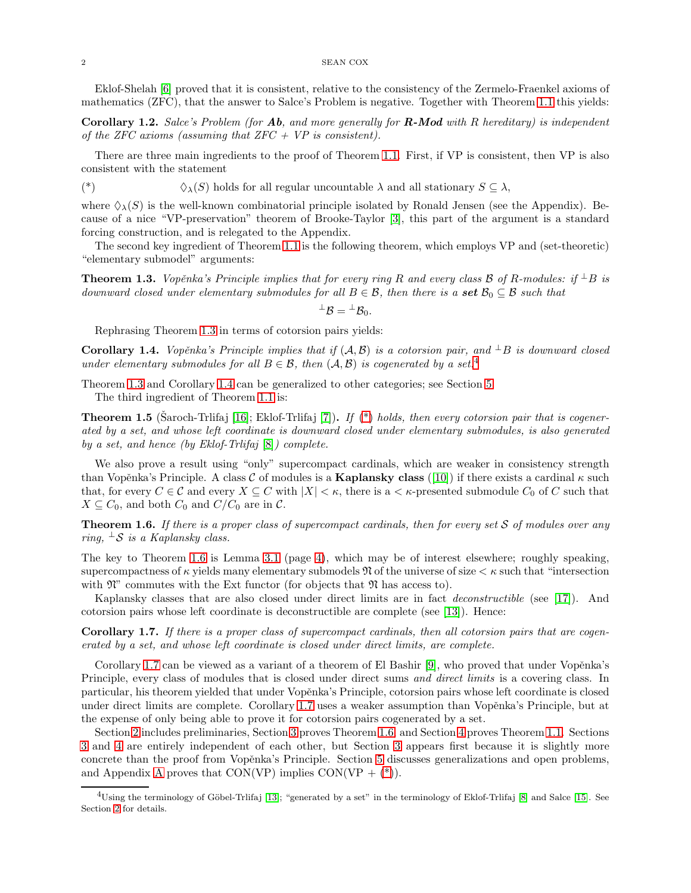Eklof-Shelah [\[6\]](#page-7-1) proved that it is consistent, relative to the consistency of the Zermelo-Fraenkel axioms of mathematics (ZFC), that the answer to Salce's Problem is negative. Together with Theorem [1.1](#page-0-0) this yields:

**Corollary 1.2.** Salce's Problem (for **Ab**, and more generally for **R-Mod** with R hereditary) is independent of the ZFC axioms (assuming that  $ZFC + VP$  is consistent).

There are three main ingredients to the proof of Theorem [1.1.](#page-0-0) First, if VP is consistent, then VP is also consistent with the statement

<span id="page-1-2"></span>(\*)  $\Diamond_{\lambda}(S)$  holds for all regular uncountable  $\lambda$  and all stationary  $S \subseteq \lambda$ ,

where  $\Diamond_{\lambda}(S)$  is the well-known combinatorial principle isolated by Ronald Jensen (see the Appendix). Because of a nice "VP-preservation" theorem of Brooke-Taylor [\[3\]](#page-7-4), this part of the argument is a standard forcing construction, and is relegated to the Appendix.

The second key ingredient of Theorem [1.1](#page-0-0) is the following theorem, which employs VP and (set-theoretic) "elementary submodel" arguments:

<span id="page-1-0"></span>**Theorem 1.3.** Vopěnka's Principle implies that for every ring R and every class B of R-modules: if  $\pm B$  is downward closed under elementary submodules for all  $B \in \mathcal{B}$ , then there is a set  $\mathcal{B}_0 \subseteq \mathcal{B}$  such that

$$
{}^\perp\mathcal{B} = {}^\perp\mathcal{B}_0
$$

Rephrasing Theorem [1.3](#page-1-0) in terms of cotorsion pairs yields:

<span id="page-1-1"></span>Corollary 1.4. Vopěnka's Principle implies that if  $(A, B)$  is a cotorsion pair, and  $\perp B$  is downward closed under elementary submodules for all  $B \in \mathcal{B}$ , then  $(\mathcal{A}, \mathcal{B})$  is cogenerated by a set.<sup>4</sup>

Theorem [1.3](#page-1-0) and Corollary [1.4](#page-1-1) can be generalized to other categories; see Section [5.](#page-6-1) The third ingredient of Theorem [1.1](#page-0-0) is:

<span id="page-1-5"></span>**Theorem 1.5** (Saroch-Trlifaj [\[16\]](#page-7-5); Eklof-Trlifaj [\[7\]](#page-7-6)). If  $(*)$  holds, then every cotorsion pair that is cogenerated by a set, and whose left coordinate is downward closed under elementary submodules, is also generated by a set, and hence (by Eklof-Trlifaj [\[8\]](#page-7-3)) complete.

We also prove a result using "only" supercompact cardinals, which are weaker in consistency strength than Vopěnka's Principle. A class C of modules is a Kaplansky class ([\[10\]](#page-7-7)) if there exists a cardinal  $\kappa$  such that, for every  $C \in \mathcal{C}$  and every  $X \subseteq C$  with  $|X| < \kappa$ , there is a  $\lt \kappa$ -presented submodule  $C_0$  of C such that  $X \subseteq C_0$ , and both  $C_0$  and  $C/C_0$  are in  $\mathcal{C}$ .

<span id="page-1-3"></span>**Theorem 1.6.** If there is a proper class of supercompact cardinals, then for every set  $S$  of modules over any ring,  $\perp$ S is a Kaplansky class.

The key to Theorem [1.6](#page-1-3) is Lemma [3.1](#page-3-0) (page [4\)](#page-3-0), which may be of interest elsewhere; roughly speaking, supercompactness of  $\kappa$  yields many elementary submodels  $\mathfrak N$  of the universe of size  $\lt \kappa$  such that "intersection" with  $\mathfrak{N}$ " commutes with the Ext functor (for objects that  $\mathfrak{N}$  has access to).

Kaplansky classes that are also closed under direct limits are in fact deconstructible (see [\[17\]](#page-7-8)). And cotorsion pairs whose left coordinate is deconstructible are complete (see [\[13\]](#page-7-9)). Hence:

<span id="page-1-4"></span>Corollary 1.7. If there is a proper class of supercompact cardinals, then all cotorsion pairs that are cogenerated by a set, and whose left coordinate is closed under direct limits, are complete.

Corollary [1.7](#page-1-4) can be viewed as a variant of a theorem of El Bashir  $|9|$ , who proved that under Vopěnka's Principle, every class of modules that is closed under direct sums and direct limits is a covering class. In particular, his theorem yielded that under Vopěnka's Principle, cotorsion pairs whose left coordinate is closed under direct limits are complete. Corollary [1.7](#page-1-4) uses a weaker assumption than Vopěnka's Principle, but at the expense of only being able to prove it for cotorsion pairs cogenerated by a set.

Section [2](#page-2-0) includes preliminaries, Section [3](#page-3-1) proves Theorem [1.6,](#page-1-3) and Section [4](#page-4-0) proves Theorem [1.1.](#page-0-0) Sections [3](#page-3-1) and [4](#page-4-0) are entirely independent of each other, but Section [3](#page-3-1) appears first because it is slightly more concrete than the proof from Vopěnka's Principle. Section [5](#page-6-1) discusses generalizations and open problems, and [A](#page-6-2)ppendix A proves that CON(VP) implies CON(VP  $+$  [\(\\*\)](#page-1-2)).

<sup>&</sup>lt;sup>4</sup>Using the terminology of Göbel-Trlifaj [\[13\]](#page-7-9); "generated by a set" in the terminology of Eklof-Trlifaj [\[8\]](#page-7-3) and Salce [\[15\]](#page-7-0). See Section [2](#page-2-0) for details.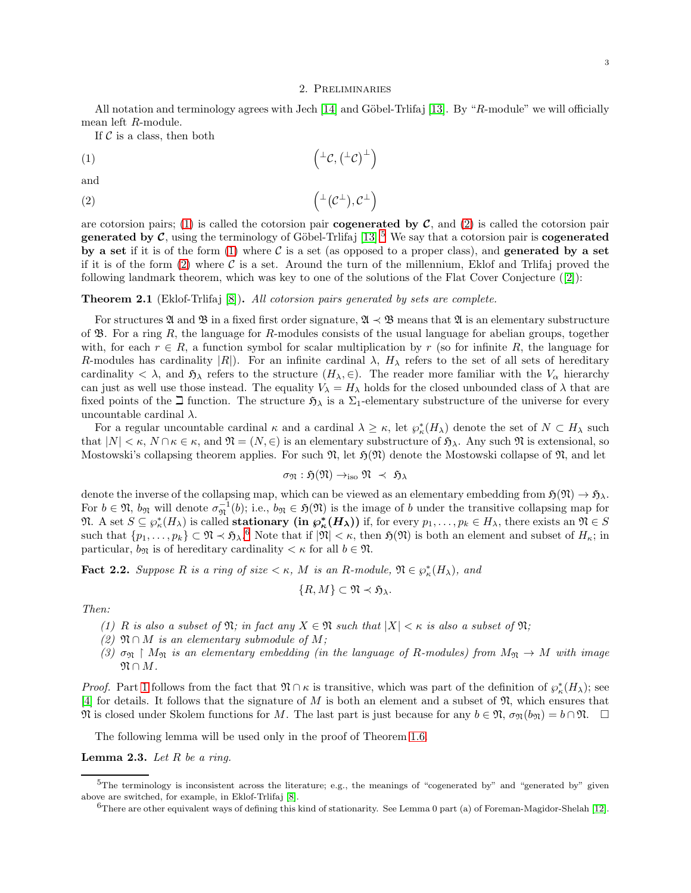#### 2. Preliminaries

<span id="page-2-0"></span>All notation and terminology agrees with Jech [\[14\]](#page-7-11) and Göbel-Trlifaj [\[13\]](#page-7-9). By "R-module" we will officially mean left R-module.

<span id="page-2-2"></span><span id="page-2-1"></span> $\overline{ }$ 

If  $\mathcal C$  is a class, then both

$$
(1) \qquad \qquad \left( {}^{\perp} \mathcal{C}, \left( {}^{\perp} \mathcal{C} \right)^{\perp} \right)
$$

and

$$
(2) \qquad \qquad \left( {}^{\perp}(C^{\perp}), C^{\perp} \right)
$$

are cotorsion pairs; [\(1\)](#page-2-1) is called the cotorsion pair **cogenerated by C**, and [\(2\)](#page-2-2) is called the cotorsion pair **generated by C**, using the terminology of Göbel-Trlifaj [\[13\]](#page-7-9).<sup>5</sup> We say that a cotorsion pair is **cogenerated** by a set if it is of the form  $(1)$  where C is a set (as opposed to a proper class), and generated by a set if it is of the form [\(2\)](#page-2-2) where  $\mathcal C$  is a set. Around the turn of the millennium, Eklof and Trlifaj proved the following landmark theorem, which was key to one of the solutions of the Flat Cover Conjecture ([\[2\]](#page-7-12)):

# Theorem 2.1 (Eklof-Trlifaj [\[8\]](#page-7-3)). All cotorsion pairs generated by sets are complete.

For structures  $\mathfrak{A}$  and  $\mathfrak{B}$  in a fixed first order signature,  $\mathfrak{A} \prec \mathfrak{B}$  means that  $\mathfrak{A}$  is an elementary substructure of  $\mathfrak{B}$ . For a ring R, the language for R-modules consists of the usual language for abelian groups, together with, for each  $r \in R$ , a function symbol for scalar multiplication by r (so for infinite R, the language for R-modules has cardinality  $|R|$ ). For an infinite cardinal  $\lambda$ ,  $H_{\lambda}$  refers to the set of all sets of hereditary cardinality  $\langle \lambda \rangle$ , and  $\mathfrak{H}_{\lambda}$  refers to the structure  $(H_{\lambda}, \epsilon)$ . The reader more familiar with the  $V_{\alpha}$  hierarchy can just as well use those instead. The equality  $V_{\lambda} = H_{\lambda}$  holds for the closed unbounded class of  $\lambda$  that are fixed points of the  $\exists$  function. The structure  $\mathfrak{H}_{\lambda}$  is a  $\Sigma_1$ -elementary substructure of the universe for every uncountable cardinal  $\lambda$ .

For a regular uncountable cardinal  $\kappa$  and a cardinal  $\lambda \geq \kappa$ , let  $\wp^*_{\kappa}(H_{\lambda})$  denote the set of  $N \subset H_{\lambda}$  such that  $|N| < \kappa$ ,  $N \cap \kappa \in \kappa$ , and  $\mathfrak{N} = (N, \in)$  is an elementary substructure of  $\mathfrak{H}_{\lambda}$ . Any such  $\mathfrak{N}$  is extensional, so Mostowski's collapsing theorem applies. For such  $\mathfrak{N}$ , let  $\mathfrak{H}(\mathfrak{N})$  denote the Mostowski collapse of  $\mathfrak{N}$ , and let

$$
\sigma_{\mathfrak{N}}: \mathfrak{H}(\mathfrak{N}) \to_{\text{iso}} \mathfrak{N} \;\prec\; \mathfrak{H}_\lambda
$$

denote the inverse of the collapsing map, which can be viewed as an elementary embedding from  $\mathfrak{H}(\mathfrak{N}) \to \mathfrak{H}_{\lambda}$ . For  $b \in \mathfrak{N}$ ,  $b_{\mathfrak{N}}$  will denote  $\sigma_{\mathfrak{N}}^{-1}(b)$ ; i.e.,  $b_{\mathfrak{N}} \in \mathfrak{H}(\mathfrak{N})$  is the image of b under the transitive collapsing map for  $\mathfrak{N}.$  A set  $S \subseteq \wp^*_\kappa(H_\lambda)$  is called **stationary** (in  $\wp^*_\kappa(H_\lambda)$ ) if, for every  $p_1, \ldots, p_k \in H_\lambda$ , there exists an  $\mathfrak{N} \in S$ such that  $\{p_1,\ldots,p_k\} \subset \mathfrak{N} \times \mathfrak{H}_{\lambda}$ . Note that if  $|\mathfrak{N}| < \kappa$ , then  $\mathfrak{H}(\mathfrak{N})$  is both an element and subset of  $H_{\kappa}$ ; in particular,  $b_{\mathfrak{N}}$  is of hereditary cardinality  $\lt \kappa$  for all  $b \in \mathfrak{N}$ .

<span id="page-2-4"></span>**Fact 2.2.** Suppose R is a ring of size  $\lt \kappa$ , M is an R-module,  $\mathfrak{N} \in \wp^*_\kappa(H_\lambda)$ , and

$$
\{R,M\}\subset\mathfrak{N}\prec\mathfrak{H}_{\lambda}.
$$

<span id="page-2-3"></span>Then:

- (1) R is also a subset of  $\mathfrak{N}$ ; in fact any  $X \in \mathfrak{N}$  such that  $|X| < \kappa$  is also a subset of  $\mathfrak{N}$ ;
- (2)  $\mathfrak{N} \cap M$  is an elementary submodule of M;
- (3)  $\sigma_{\mathfrak{N}} \restriction M_{\mathfrak{N}}$  is an elementary embedding (in the language of R-modules) from  $M_{\mathfrak{N}} \to M$  with image  $\mathfrak{N} \cap M$ .

*Proof.* Part [1](#page-2-3) follows from the fact that  $\mathfrak{N} \cap \kappa$  is transitive, which was part of the definition of  $\wp_{\kappa}^*(H_\lambda)$ ; see [\[4\]](#page-7-13) for details. It follows that the signature of M is both an element and a subset of  $\mathfrak{N}$ , which ensures that  $\mathfrak{N}$  is closed under Skolem functions for M. The last part is just because for any  $b \in \mathfrak{N}$ ,  $\sigma_{\mathfrak{N}}(b_{\mathfrak{N}}) = b \cap \mathfrak{N}$ .  $\Box$ 

The following lemma will be used only in the proof of Theorem [1.6.](#page-1-3)

<span id="page-2-5"></span>**Lemma 2.3.** Let  $R$  be a ring.

 $5$ The terminology is inconsistent across the literature; e.g., the meanings of "cogenerated by" and "generated by" given above are switched, for example, in Eklof-Trlifaj [\[8\]](#page-7-3).

 $6$ There are other equivalent ways of defining this kind of stationarity. See Lemma 0 part (a) of Foreman-Magidor-Shelah [\[12\]](#page-7-14).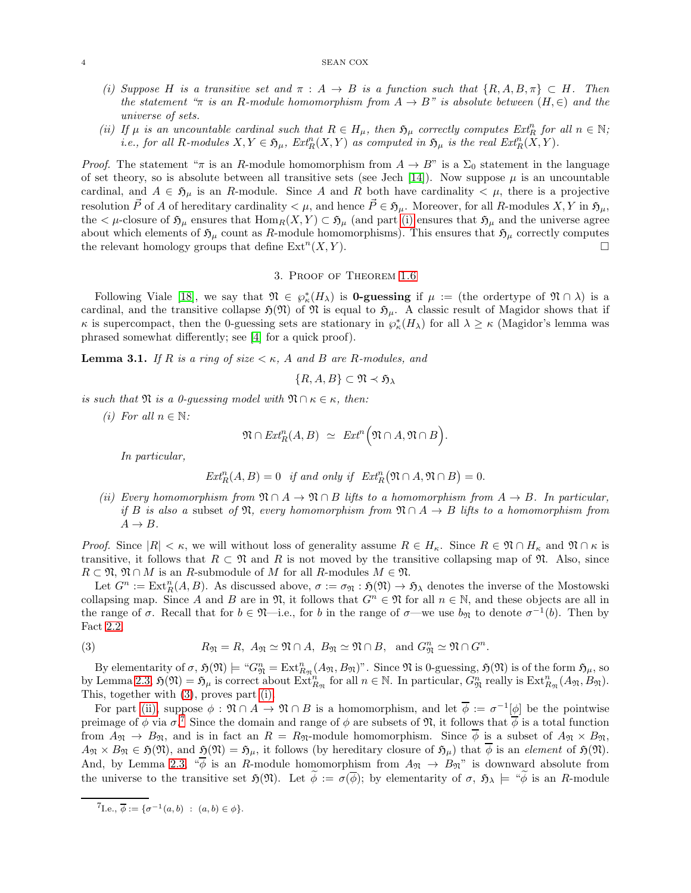- <span id="page-3-2"></span>(i) Suppose H is a transitive set and  $\pi : A \to B$  is a function such that  $\{R, A, B, \pi\} \subset H$ . Then the statement "π is an R-module homomorphism from  $A \to B$ " is absolute between  $(H, \in)$  and the universe of sets.
- (ii) If  $\mu$  is an uncountable cardinal such that  $R \in H_{\mu}$ , then  $\mathfrak{H}_{\mu}$  correctly computes  $Ext_{R}^{n}$  for all  $n \in \mathbb{N}$ ; *i.e.*, for all R-modules  $X, Y \in \mathfrak{H}_{\mu}$ ,  $\text{Ext}^n_R(X, Y)$  as computed in  $\mathfrak{H}_{\mu}$  is the real  $\text{Ext}^n_R(X, Y)$ .

*Proof.* The statement " $\pi$  is an R-module homomorphism from  $A \to B$ " is a  $\Sigma_0$  statement in the language of set theory, so is absolute between all transitive sets (see Jech [\[14\]](#page-7-11)). Now suppose  $\mu$  is an uncountable cardinal, and  $A \in \mathfrak{H}_{\mu}$  is an R-module. Since A and R both have cardinality  $\langle \mu \rangle$ , there is a projective resolution  $\vec{P}$  of A of hereditary cardinality  $\lt \mu$ , and hence  $\vec{P} \in \mathfrak{H}_{\mu}$ . Moreover, for all R-modules  $X, Y$  in  $\mathfrak{H}_{\mu}$ , the  $\lt \mu$ -closure of  $\mathfrak{H}_\mu$  ensures that  $\text{Hom}_R(X, Y) \subset \mathfrak{H}_\mu$  (and part [\(i\)](#page-3-2) ensures that  $\mathfrak{H}_\mu$  and the universe agree about which elements of  $\mathfrak{H}_{\mu}$  count as R-module homomorphisms). This ensures that  $\mathfrak{H}_{\mu}$  correctly computes the relevant homology groups that define  $\mathrm{Ext}^n(X, Y)$ .

#### 3. Proof of Theorem [1.6](#page-1-3)

<span id="page-3-1"></span>Following Viale [\[18\]](#page-7-15), we say that  $\mathfrak{N} \in \wp^*_\kappa(H_\lambda)$  is **0-guessing** if  $\mu :=$  (the ordertype of  $\mathfrak{N} \cap \lambda$ ) is a cardinal, and the transitive collapse  $\mathfrak{H}(\mathfrak{N})$  of  $\mathfrak{N}$  is equal to  $\mathfrak{H}_{\mu}$ . A classic result of Magidor shows that if  $\kappa$  is supercompact, then the 0-guessing sets are stationary in  $\wp^*_{\kappa}(H_\lambda)$  for all  $\lambda \geq \kappa$  (Magidor's lemma was phrased somewhat differently; see [\[4\]](#page-7-13) for a quick proof).

<span id="page-3-0"></span>**Lemma 3.1.** If R is a ring of size  $\lt \kappa$ , A and B are R-modules, and

$$
\{R, A, B\} \subset \mathfrak{N} \prec \mathfrak{H}_{\lambda}
$$

<span id="page-3-4"></span>is such that  $\mathfrak{N}$  is a 0-quessing model with  $\mathfrak{N} \cap \kappa \in \kappa$ , then:

(i) For all  $n \in \mathbb{N}$ :

$$
\mathfrak{N} \cap \operatorname{Ext}_R^n(A,B) \ \simeq \ \operatorname{Ext}^n\Big(\mathfrak{N} \cap A, \mathfrak{N} \cap B\Big).
$$

In particular,

$$
Ext_R^n(A, B) = 0 \quad \text{if and only if} \quad Ext_R^n(\mathfrak{N} \cap A, \mathfrak{N} \cap B) = 0.
$$

<span id="page-3-5"></span>(ii) Every homomorphism from  $\mathfrak{N} \cap A \to \mathfrak{N} \cap B$  lifts to a homomorphism from  $A \to B$ . In particular, if B is also a subset of  $\mathfrak{N}$ , every homomorphism from  $\mathfrak{N} \cap A \to B$  lifts to a homomorphism from  $A \rightarrow B$ .

*Proof.* Since  $|R| < \kappa$ , we will without loss of generality assume  $R \in H_{\kappa}$ . Since  $R \in \mathfrak{N} \cap H_{\kappa}$  and  $\mathfrak{N} \cap \kappa$  is transitive, it follows that  $R \subset \mathfrak{N}$  and R is not moved by the transitive collapsing map of  $\mathfrak{N}$ . Also, since  $R \subset \mathfrak{N}, \mathfrak{N} \cap M$  is an R-submodule of M for all R-modules  $M \in \mathfrak{N}$ .

Let  $G^n := \text{Ext}^n_R(A, B)$ . As discussed above,  $\sigma := \sigma_{\mathfrak{N}} : \mathfrak{H}(\mathfrak{N}) \to \mathfrak{H}$  denotes the inverse of the Mostowski collapsing map. Since A and B are in  $\mathfrak{N}$ , it follows that  $G^n \in \mathfrak{N}$  for all  $n \in \mathbb{N}$ , and these objects are all in the range of  $\sigma$ . Recall that for  $b \in \mathfrak{N}$ —i.e., for b in the range of  $\sigma$ —we use  $b_{\mathfrak{N}}$  to denote  $\sigma^{-1}(b)$ . Then by Fact [2.2,](#page-2-4)

<span id="page-3-3"></span>(3) 
$$
R_{\mathfrak{N}} = R
$$
,  $A_{\mathfrak{N}} \simeq \mathfrak{N} \cap A$ ,  $B_{\mathfrak{N}} \simeq \mathfrak{N} \cap B$ , and  $G_{\mathfrak{N}}^n \simeq \mathfrak{N} \cap G^n$ .

By elementarity of  $\sigma$ ,  $\mathfrak{H}(\mathfrak{N}) \models$  " $G_{\mathfrak{N}}^n = \text{Ext}_{R_{\mathfrak{N}}}^n(A_{\mathfrak{N}}, B_{\mathfrak{N}})$ ". Since  $\mathfrak{N}$  is 0-guessing,  $\mathfrak{H}(\mathfrak{N})$  is of the form  $\mathfrak{H}_{\mu}$ , so by Lemma [2.3,](#page-2-5)  $\mathfrak{H}(\mathfrak{N}) = \mathfrak{H}_{\mu}$  is correct about  $\operatorname{Ext}_{R_{\mathfrak{N}}}^n$  for all  $n \in \mathbb{N}$ . In particular,  $G_{\mathfrak{N}}^n$  really is  $\operatorname{Ext}_{R_{\mathfrak{N}}}^n(A_{\mathfrak{N}},B_{\mathfrak{N}})$ . This, together with [\(3\)](#page-3-3), proves part [\(i\).](#page-3-4)

For part [\(ii\),](#page-3-5) suppose  $\phi : \mathfrak{N} \cap A \to \mathfrak{N} \cap B$  is a homomorphism, and let  $\overline{\phi} := \sigma^{-1}[\phi]$  be the pointwise preimage of  $\phi$  via  $\sigma$ .<sup>7</sup> Since the domain and range of  $\phi$  are subsets of  $\mathfrak{N}$ , it follows that  $\phi$  is a total function from  $A_{\mathfrak{N}} \to B_{\mathfrak{N}}$ , and is in fact an  $R = R_{\mathfrak{N}}$ -module homomorphism. Since  $\overline{\phi}$  is a subset of  $A_{\mathfrak{N}} \times B_{\mathfrak{N}}$ ,  $A_{\mathfrak{N}} \times B_{\mathfrak{N}} \in \mathfrak{H}(\mathfrak{N})$ , and  $\mathfrak{H}(\mathfrak{N}) = \mathfrak{H}_{\mu}$ , it follows (by hereditary closure of  $\mathfrak{H}_{\mu}$ ) that  $\overline{\phi}$  is an element of  $\mathfrak{H}(\mathfrak{N})$ . And, by Lemma [2.3,](#page-2-5)  $\sqrt[n]{\phi}$  is an R-module homomorphism from  $A_{\mathfrak{N}} \to B_{\mathfrak{N}}$ " is downward absolute from the universe to the transitive set  $\mathfrak{H}(\mathfrak{N})$ . Let  $\phi := \sigma(\overline{\phi})$ ; by elementarity of  $\sigma$ ,  $\mathfrak{H}_{\lambda} \models$  " $\phi$  is an R-module

 ${}^{7}\text{I.e., } \overline{\phi} := \{\sigma^{-1}(a,b) : (a,b) \in \phi\}.$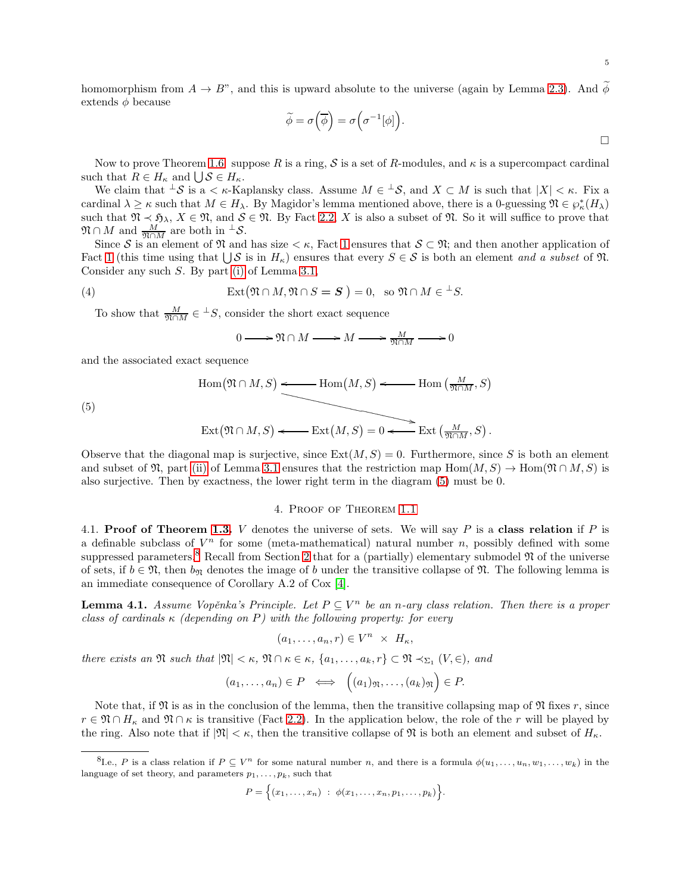homomorphism from  $A \to B$ ", and this is upward absolute to the universe (again by Lemma [2.3\)](#page-2-5). And  $\phi$ extends  $\phi$  because

$$
\widetilde{\phi} = \sigma\left(\overline{\phi}\right) = \sigma\left(\sigma^{-1}[\phi]\right).
$$

Now to prove Theorem [1.6:](#page-1-3) suppose R is a ring, S is a set of R-modules, and  $\kappa$  is a supercompact cardinal such that  $R \in H_{\kappa}$  and  $\bigcup \mathcal{S} \in H_{\kappa}$ .

We claim that  $\pm S$  is a  $\lt$   $\kappa$ -Kaplansky class. Assume  $M \in \pm S$ , and  $X \subset M$  is such that  $|X| \lt \kappa$ . Fix a cardinal  $\lambda \geq \kappa$  such that  $M \in H_{\lambda}$ . By Magidor's lemma mentioned above, there is a 0-guessing  $\mathfrak{N} \in \wp_{\kappa}^*(H_{\lambda})$ such that  $\mathfrak{N} \prec \mathfrak{H}_{\lambda}$ ,  $X \in \mathfrak{N}$ , and  $S \in \mathfrak{N}$ . By Fact [2.2,](#page-2-4) X is also a subset of  $\mathfrak{N}$ . So it will suffice to prove that  $\mathfrak{N} \cap M$  and  $\frac{M}{\mathfrak{N} \cap M}$  are both in  ${}^{\perp} \mathcal{S}$ .

Since S is an element of  $\mathfrak{N}$  and has size  $\lt \kappa$ , Fact [1](#page-2-3) ensures that  $S \subset \mathfrak{N}$ ; and then another application of Fact [1](#page-2-3) (this time using that  $\bigcup \mathcal{S}$  is in  $H_{\kappa}$ ) ensures that every  $S \in \mathcal{S}$  is both an element and a subset of  $\mathfrak{N}$ . Consider any such S. By part [\(i\)](#page-3-4) of Lemma [3.1,](#page-3-0)

(4) 
$$
\operatorname{Ext}(\mathfrak{N} \cap M, \mathfrak{N} \cap S = S) = 0, \text{ so } \mathfrak{N} \cap M \in {}^{\perp}S.
$$

To show that  $\frac{M}{\mathfrak{N} \cap M} \in {}^{\perp}S$ , consider the short exact sequence

$$
0 \longrightarrow \mathfrak{N} \cap M \longrightarrow M \longrightarrow \frac{M}{\mathfrak{N} \cap M} \longrightarrow 0
$$

and the associated exact sequence

$$
\operatorname{Hom}(\mathfrak{N} \cap M, S) \xleftarrow{\bullet} \operatorname{Hom}(M, S) \xleftarrow{\bullet} \operatorname{Hom}\left(\frac{M}{\mathfrak{N} \cap M}, S\right)
$$

 $\overline{\phantom{a}}$  $\overline{\phantom{a}}$ 

(5)

<span id="page-4-1"></span>
$$
\operatorname{Ext}(\mathfrak{N} \cap M, S) \longleftarrow \operatorname{Ext}(M, S) = 0 \longleftarrow \operatorname{Ext}\left(\frac{M}{\mathfrak{N} \cap M}, S\right).
$$

Observe that the diagonal map is surjective, since  $Ext(M, S) = 0$ . Furthermore, since S is both an element and subset of  $\mathfrak{N}$ , part [\(ii\)](#page-3-5) of Lemma [3.1](#page-3-0) ensures that the restriction map  $\text{Hom}(M, S) \to \text{Hom}(\mathfrak{N} \cap M, S)$  is also surjective. Then by exactness, the lower right term in the diagram [\(5\)](#page-4-1) must be 0.

# 4. Proof of Theorem [1.1](#page-0-0)

<span id="page-4-0"></span>4.1. Proof of Theorem [1.3.](#page-1-0) V denotes the universe of sets. We will say P is a class relation if P is a definable subclass of  $V^n$  for some (meta-mathematical) natural number n, possibly defined with some suppressed parameters.<sup>8</sup> Recall from Section [2](#page-2-0) that for a (partially) elementary submodel  $\mathfrak{N}$  of the universe of sets, if  $b \in \mathfrak{N}$ , then  $b_{\mathfrak{N}}$  denotes the image of b under the transitive collapse of  $\mathfrak{N}$ . The following lemma is an immediate consequence of Corollary A.2 of Cox [\[4\]](#page-7-13).

<span id="page-4-2"></span>**Lemma 4.1.** Assume Vopěnka's Principle. Let  $P \subseteq V^n$  be an n-ary class relation. Then there is a proper class of cardinals  $\kappa$  (depending on P) with the following property: for every

$$
(a_1, \ldots, a_n, r) \in V^n \times H_{\kappa},
$$

there exists an  $\mathfrak{N}$  such that  $|\mathfrak{N}| < \kappa$ ,  $\mathfrak{N} \cap \kappa \in \kappa$ ,  $\{a_1, \ldots, a_k, r\} \subset \mathfrak{N} \prec_{\Sigma_1} (V, \in)$ , and

$$
(a_1,\ldots,a_n)\in P \iff \left((a_1)_{\mathfrak{N}},\ldots,(a_k)_{\mathfrak{N}}\right)\in P.
$$

Note that, if  $\mathfrak N$  is as in the conclusion of the lemma, then the transitive collapsing map of  $\mathfrak N$  fixes r, since  $r \in \mathfrak{N} \cap H_{\kappa}$  and  $\mathfrak{N} \cap \kappa$  is transitive (Fact [2.2\)](#page-2-4). In the application below, the role of the r will be played by the ring. Also note that if  $|\mathfrak{N}| < \kappa$ , then the transitive collapse of  $\mathfrak{N}$  is both an element and subset of  $H_{\kappa}$ .

$$
P = \Big\{ (x_1,\ldots,x_n) \; : \; \phi(x_1,\ldots,x_n,p_1,\ldots,p_k) \Big\}.
$$

<sup>&</sup>lt;sup>8</sup>I.e., P is a class relation if  $P \subseteq V^n$  for some natural number n, and there is a formula  $\phi(u_1, \ldots, u_n, w_1, \ldots, w_k)$  in the language of set theory, and parameters  $p_1, \ldots, p_k$ , such that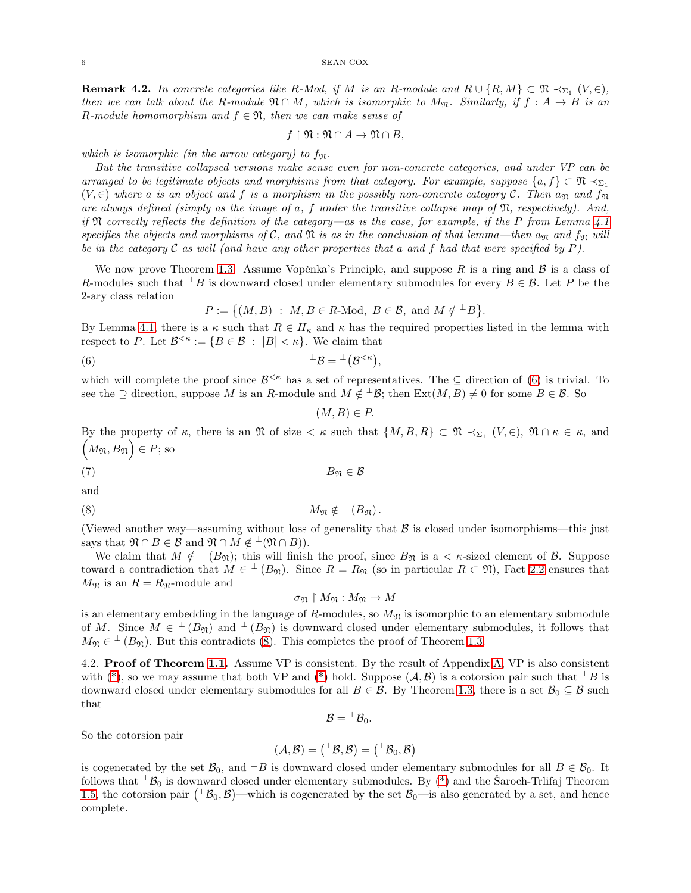<span id="page-5-2"></span>**Remark 4.2.** In concrete categories like R-Mod, if M is an R-module and  $R \cup \{R,M\} \subset \mathfrak{N} \prec_{\Sigma_1} (V, \in)$ , then we can talk about the R-module  $\mathfrak{N} \cap M$ , which is isomorphic to  $M_{\mathfrak{N}}$ . Similarly, if  $f : A \to B$  is an R-module homomorphism and  $f \in \mathfrak{N}$ , then we can make sense of

$$
f \restriction \mathfrak{N} : \mathfrak{N} \cap A \to \mathfrak{N} \cap B,
$$

which is isomorphic (in the arrow category) to  $f_{\mathfrak{N}}$ .

But the transitive collapsed versions make sense even for non-concrete categories, and under VP can be arranged to be legitimate objects and morphisms from that category. For example, suppose  $\{a, f\} \subset \mathfrak{N} \prec_{\Sigma_1}$  $(V, \in)$  where a is an object and f is a morphism in the possibly non-concrete category C. Then  $a_{\mathfrak{N}}$  and  $f_{\mathfrak{N}}$ are always defined (simply as the image of a, f under the transitive collapse map of  $\mathfrak{N}$ , respectively). And, if  $\mathfrak N$  correctly reflects the definition of the category—as is the case, for example, if the P from Lemma [4.1](#page-4-2) specifies the objects and morphisms of C, and  $\mathfrak N$  is as in the conclusion of that lemma—then  $a_{\mathfrak N}$  and  $f_{\mathfrak N}$  will be in the category  $\mathcal C$  as well (and have any other properties that a and f had that were specified by P).

We now prove Theorem [1.3.](#page-1-0) Assume Vopěnka's Principle, and suppose R is a ring and B is a class of R-modules such that  $\perp B$  is downward closed under elementary submodules for every  $B \in \mathcal{B}$ . Let P be the 2-ary class relation

$$
P := \{ (M, B) : M, B \in R \text{-Mod}, B \in \mathcal{B}, \text{ and } M \notin {}^{\perp}B \}.
$$

By Lemma [4.1,](#page-4-2) there is a  $\kappa$  such that  $R \in H_{\kappa}$  and  $\kappa$  has the required properties listed in the lemma with respect to P. Let  $\mathcal{B}^{<\kappa} := \{ B \in \mathcal{B} : |B| < \kappa \}.$  We claim that

(6) <sup>⊥</sup>B = ⊥ B <κ ,

which will complete the proof since  $\mathcal{B}^{<\kappa}$  has a set of representatives. The  $\subseteq$  direction of [\(6\)](#page-5-0) is trivial. To see the  $\supseteq$  direction, suppose M is an R-module and  $M \notin \perp \mathcal{B}$ ; then  $\text{Ext}(M, \overline{B}) \neq 0$  for some  $B \in \mathcal{B}$ . So

<span id="page-5-0"></span>
$$
(M, B) \in P.
$$

By the property of  $\kappa$ , there is an  $\mathfrak N$  of size  $\lt \kappa$  such that  $\{M, B, R\} \subset \mathfrak N \lt \s_{\Sigma_1} (V, \in), \mathfrak N \cap \kappa \in \kappa$ , and  $(M_{\mathfrak{N}}, B_{\mathfrak{N}}) \in P$ ; so

$$
(7) \t\t B_{\mathfrak{N}} \in \mathcal{B}
$$

and

$$
(8) \t\t\t M_{\mathfrak{N}} \notin {}^{\perp} (B_{\mathfrak{N}}).
$$

(Viewed another way—assuming without loss of generality that  $\beta$  is closed under isomorphisms—this just says that  $\mathfrak{N} \cap B \in \mathcal{B}$  and  $\mathfrak{N} \cap M \notin \perp (\mathfrak{N} \cap B)).$ 

We claim that  $M \notin L^2(B_{\mathfrak{N}})$ ; this will finish the proof, since  $B_{\mathfrak{N}}$  is a  $\lt \kappa$ -sized element of  $\mathcal{B}$ . Suppose toward a contradiction that  $M \in \perp (B_{\mathfrak{N}})$ . Since  $R = R_{\mathfrak{N}}$  (so in particular  $R \subset \mathfrak{N}$ ), Fact [2.2](#page-2-4) ensures that  $M_{\mathfrak{N}}$  is an  $R = R_{\mathfrak{N}}$ -module and

<span id="page-5-1"></span>
$$
\sigma_{\mathfrak{N}}\restriction M_{\mathfrak{N}}:M_{\mathfrak{N}}\to M
$$

is an elementary embedding in the language of  $R$ -modules, so  $M_{\mathfrak{N}}$  is isomorphic to an elementary submodule of M. Since  $M \in {}^{\perp}(B_{\mathfrak{N}})$  and  ${}^{\perp}(B_{\mathfrak{N}})$  is downward closed under elementary submodules, it follows that  $M_{\mathfrak{N}} \in \mathfrak{t}^{\perp}(B_{\mathfrak{N}})$ . But this contradicts [\(8\)](#page-5-1). This completes the proof of Theorem [1.3.](#page-1-0)

4.2. Proof of Theorem [1.1.](#page-0-0) Assume VP is consistent. By the result of Appendix [A,](#page-6-2) VP is also consistent with [\(\\*\)](#page-1-2), so we may assume that both VP and (\*) hold. Suppose  $(\mathcal{A}, \mathcal{B})$  is a cotorsion pair such that  $\perp B$  is downward closed under elementary submodules for all  $B \in \mathcal{B}$ . By Theorem [1.3,](#page-1-0) there is a set  $\mathcal{B}_0 \subseteq \mathcal{B}$  such that

$$
{}^\perp\mathcal{B}={}^\perp\mathcal{B}_0.
$$

So the cotorsion pair

$$
(\mathcal{A},\mathcal{B})=(^{\perp}\mathcal{B},\mathcal{B})=(^{\perp}\mathcal{B}_0,\mathcal{B})
$$

is cogenerated by the set  $\mathcal{B}_0$ , and  $\perp B$  is downward closed under elementary submodules for all  $B \in \mathcal{B}_0$ . It follows that  $\pm \mathcal{B}_0$  is downward closed under elementary submodules. By [\(\\*\)](#page-1-2) and the Saroch-Trlifaj Theorem [1.5,](#page-1-5) the cotorsion pair  $(\pm \mathcal{B}_0, \mathcal{B})$ —which is cogenerated by the set  $\mathcal{B}_0$ —is also generated by a set, and hence complete.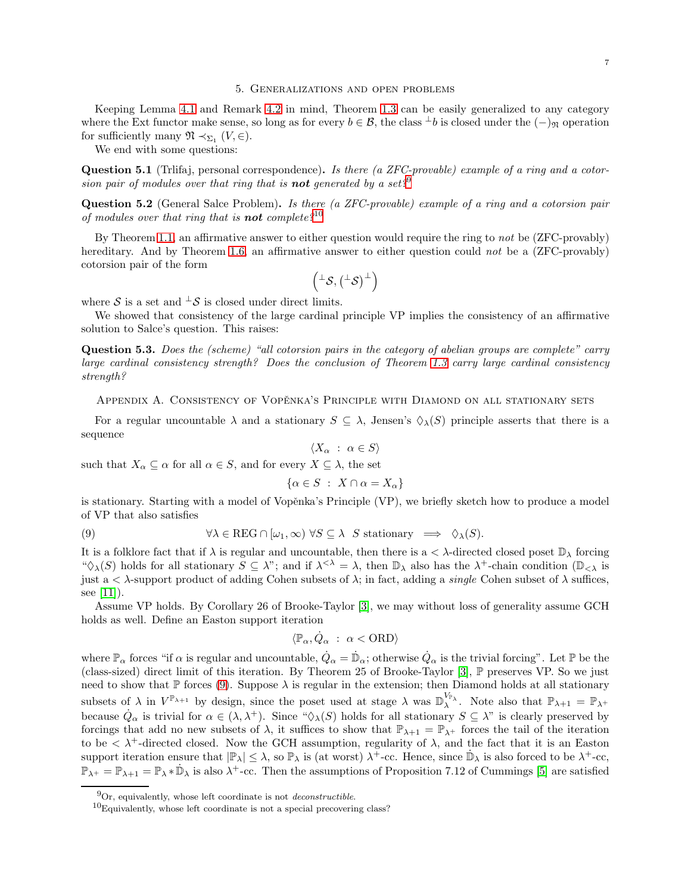#### 5. Generalizations and open problems

<span id="page-6-1"></span>Keeping Lemma [4.1](#page-4-2) and Remark [4.2](#page-5-2) in mind, Theorem [1.3](#page-1-0) can be easily generalized to any category where the Ext functor make sense, so long as for every  $b \in \mathcal{B}$ , the class  $\perp b$  is closed under the  $(-)_{\mathfrak{N}}$  operation for sufficiently many  $\mathfrak{N} \prec_{\Sigma_1} (V, \in)$ .

We end with some questions:

Question 5.1 (Triffaj, personal correspondence). Is there (a ZFC-provable) example of a ring and a cotorsion pair of modules over that ring that is **not** generated by a set?<sup>9</sup>

<span id="page-6-0"></span>Question 5.2 (General Salce Problem). Is there (a ZFC-provable) example of a ring and a cotorsion pair of modules over that ring that is **not** complete?<sup>10</sup>

By Theorem [1.1,](#page-0-0) an affirmative answer to either question would require the ring to not be (ZFC-provably) hereditary. And by Theorem [1.6,](#page-1-3) an affirmative answer to either question could not be a (ZFC-provably) cotorsion pair of the form

$$
\left({}^\perp\mathcal{S},\left({}^\perp\mathcal{S}\right)^\perp\right)
$$

where S is a set and  $\perp$ S is closed under direct limits.

We showed that consistency of the large cardinal principle VP implies the consistency of an affirmative solution to Salce's question. This raises:

Question 5.3. Does the (scheme) "all cotorsion pairs in the category of abelian groups are complete" carry large cardinal consistency strength? Does the conclusion of Theorem [1.3](#page-1-0) carry large cardinal consistency strength?

<span id="page-6-2"></span>APPENDIX A. CONSISTENCY OF VOPĚNKA'S PRINCIPLE WITH DIAMOND ON ALL STATIONARY SETS

For a regular uncountable  $\lambda$  and a stationary  $S \subseteq \lambda$ , Jensen's  $\Diamond_{\lambda}(S)$  principle asserts that there is a sequence

$$
\langle X_{\alpha} : \alpha \in S \rangle
$$
 such that  $X_{\alpha} \subseteq \alpha$  for all  $\alpha \in S$ , and for every  $X \subseteq \lambda$ , the set

<span id="page-6-3"></span>
$$
\{\alpha \in S \; : \; X \cap \alpha = X_{\alpha}\}\
$$

is stationary. Starting with a model of Vopěnka's Principle (VP), we briefly sketch how to produce a model of VP that also satisfies

(9) 
$$
\forall \lambda \in \text{REG} \cap [\omega_1, \infty) \,\forall S \subseteq \lambda \quad S \text{ stationary} \implies \Diamond_{\lambda}(S).
$$

It is a folklore fact that if  $\lambda$  is regular and uncountable, then there is a  $\lt \lambda$ -directed closed poset  $\mathbb{D}_{\lambda}$  forcing " $\Diamond_{\lambda}(S)$  holds for all stationary  $S \subseteq \lambda$ "; and if  $\lambda^{<\lambda} = \lambda$ , then  $\mathbb{D}_{\lambda}$  also has the  $\lambda^{+}$ -chain condition  $(\mathbb{D}_{<\lambda})$  is just a  $\lt$   $\lambda$ -support product of adding Cohen subsets of  $\lambda$ ; in fact, adding a *single* Cohen subset of  $\lambda$  suffices, see  $[11]$ ).

Assume VP holds. By Corollary 26 of Brooke-Taylor [\[3\]](#page-7-4), we may without loss of generality assume GCH holds as well. Define an Easton support iteration

$$
\langle \mathbb{P}_\alpha, \dot{Q}_\alpha \; : \; \alpha < \mathrm{ORD} \rangle
$$

where  $\mathbb{P}_{\alpha}$  forces "if  $\alpha$  is regular and uncountable,  $\dot{Q}_{\alpha} = \dot{\mathbb{D}}_{\alpha}$ ; otherwise  $\dot{Q}_{\alpha}$  is the trivial forcing". Let  $\mathbb P$  be the (class-sized) direct limit of this iteration. By Theorem 25 of Brooke-Taylor [\[3\]](#page-7-4), P preserves VP. So we just need to show that  $\mathbb P$  forces [\(9\)](#page-6-3). Suppose  $\lambda$  is regular in the extension; then Diamond holds at all stationary subsets of  $\lambda$  in  $V^{\mathbb{P}_{\lambda+1}}$  by design, since the poset used at stage  $\lambda$  was  $\mathbb{D}_{\lambda}^{V_{\mathbb{P}_{\lambda}}}$ . Note also that  $\mathbb{P}_{\lambda+1} = \mathbb{P}_{\lambda+1}$ because  $\dot{Q}_{\alpha}$  is trivial for  $\alpha \in (\lambda, \lambda^+)$ . Since " $\Diamond_{\lambda}(S)$  holds for all stationary  $S \subseteq \lambda$ " is clearly preserved by forcings that add no new subsets of  $\lambda$ , it suffices to show that  $\mathbb{P}_{\lambda+1} = \mathbb{P}_{\lambda+1}$  forces the tail of the iteration to be  $\langle \lambda^+$ -directed closed. Now the GCH assumption, regularity of  $\lambda$ , and the fact that it is an Easton support iteration ensure that  $|\mathbb{P}_{\lambda}| \leq \lambda$ , so  $\mathbb{P}_{\lambda}$  is (at worst)  $\lambda^{+}$ -cc. Hence, since  $\mathbb{D}_{\lambda}$  is also forced to be  $\lambda^{+}$ -cc,  $\mathbb{P}_{\lambda^+} = \mathbb{P}_{\lambda^+}$  =  $\mathbb{P}_{\lambda^+}$  is also  $\lambda^+$ -cc. Then the assumptions of Proposition 7.12 of Cummings [\[5\]](#page-7-17) are satisfied

 $^{9}$ Or, equivalently, whose left coordinate is not *deconstructible*.

 $10$ Equivalently, whose left coordinate is not a special precovering class?